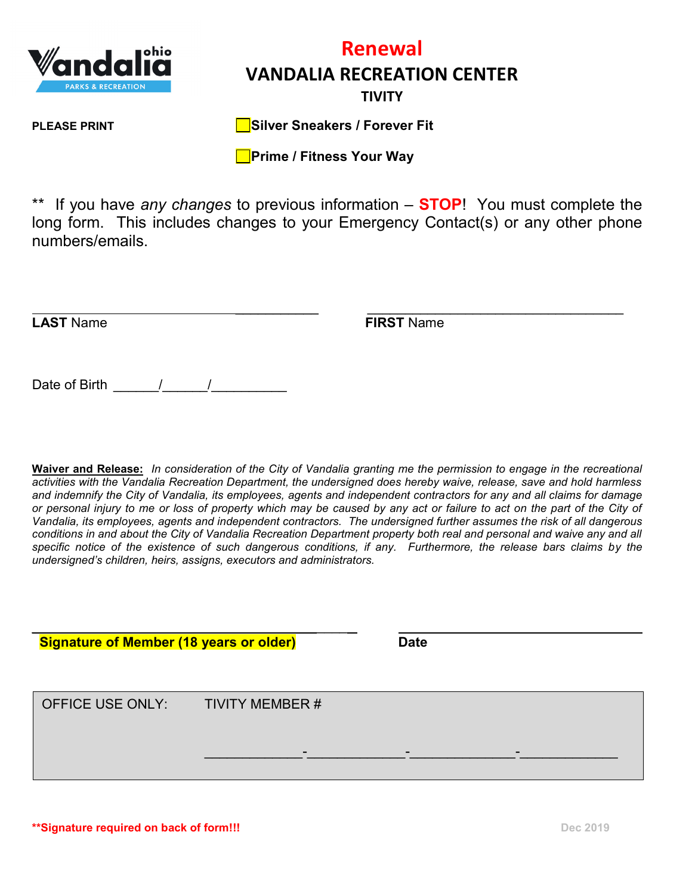

## **Renewal VANDALIA RECREATION CENTER TIVITY**

**PLEASE PRINT Silver Sneakers / Forever Fit**

**Prime / Fitness Your Way** 

\*\* If you have *any changes* to previous information – **STOP**! You must complete the long form. This includes changes to your Emergency Contact(s) or any other phone numbers/emails.

\_\_\_\_\_\_\_\_\_\_\_ \_\_\_\_\_\_\_\_\_\_\_\_\_\_\_\_\_\_\_\_\_\_\_\_\_\_\_\_\_\_\_\_\_\_ **LAST** Name **FIRST** Name

Date of Birth \_\_\_\_\_\_/\_\_\_\_\_\_/\_\_\_\_\_\_\_\_\_\_

**Waiver and Release:** *In consideration of the City of Vandalia granting me the permission to engage in the recreational activities with the Vandalia Recreation Department, the undersigned does hereby waive, release, save and hold harmless and indemnify the City of Vandalia, its employees, agents and independent contractors for any and all claims for damage or personal injury to me or loss of property which may be caused by any act or failure to act on the part of the City of Vandalia, its employees, agents and independent contractors. The undersigned further assumes the risk of all dangerous conditions in and about the City of Vandalia Recreation Department property both real and personal and waive any and all specific notice of the existence of such dangerous conditions, if any. Furthermore, the release bars claims by the undersigned's children, heirs, assigns, executors and administrators.*

\_\_\_\_\_\_\_ \_\_\_\_  **Signature of Member (18 years or older) Date** OFFICE USE ONLY: TIVITY MEMBER # \_\_\_\_\_\_\_\_\_\_\_\_\_-\_\_\_\_\_\_\_\_\_\_\_\_\_-\_\_\_\_\_\_\_\_\_\_\_\_\_\_-\_\_\_\_\_\_\_\_\_\_\_\_\_